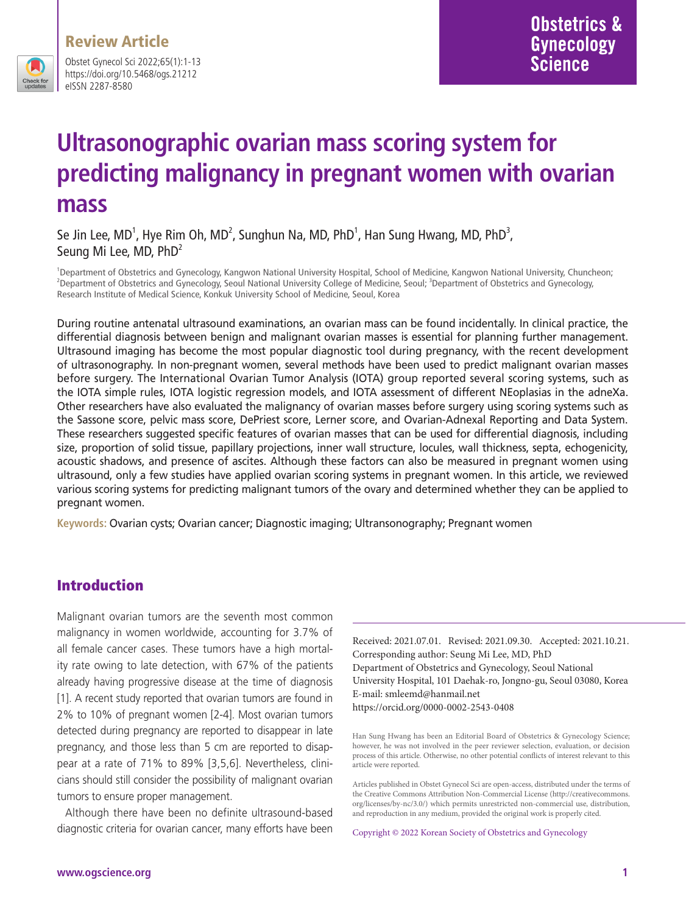

Obstet Gynecol Sci 2022;65(1):1-13 https://doi.org/10.5468/ogs.21212 eISSN 2287-8580

# **Ultrasonographic ovarian mass scoring system for predicting malignancy in pregnant women with ovarian mass**

Se Jin Lee, MD<sup>1</sup>, Hye Rim Oh, MD<sup>2</sup>, Sunghun Na, MD, PhD<sup>1</sup>, Han Sung Hwang, MD, PhD<sup>3</sup>, Seung Mi Lee, MD, PhD<sup>2</sup>

1 Department of Obstetrics and Gynecology, Kangwon National University Hospital, School of Medicine, Kangwon National University, Chuncheon; <sup>2</sup>Department of Obstetrics and Gynecology, Seoul National University College of Medicine, Seoul; <sup>3</sup>Department of Obstetrics and Gynecology, Research Institute of Medical Science, Konkuk University School of Medicine, Seoul, Korea

During routine antenatal ultrasound examinations, an ovarian mass can be found incidentally. In clinical practice, the differential diagnosis between benign and malignant ovarian masses is essential for planning further management. Ultrasound imaging has become the most popular diagnostic tool during pregnancy, with the recent development of ultrasonography. In non-pregnant women, several methods have been used to predict malignant ovarian masses before surgery. The International Ovarian Tumor Analysis (IOTA) group reported several scoring systems, such as the IOTA simple rules, IOTA logistic regression models, and IOTA assessment of different NEoplasias in the adneXa. Other researchers have also evaluated the malignancy of ovarian masses before surgery using scoring systems such as the Sassone score, pelvic mass score, DePriest score, Lerner score, and Ovarian-Adnexal Reporting and Data System. These researchers suggested specific features of ovarian masses that can be used for differential diagnosis, including size, proportion of solid tissue, papillary projections, inner wall structure, locules, wall thickness, septa, echogenicity, acoustic shadows, and presence of ascites. Although these factors can also be measured in pregnant women using ultrasound, only a few studies have applied ovarian scoring systems in pregnant women. In this article, we reviewed various scoring systems for predicting malignant tumors of the ovary and determined whether they can be applied to pregnant women.

**Keywords:** Ovarian cysts; Ovarian cancer; Diagnostic imaging; Ultransonography; Pregnant women

## Introduction

Malignant ovarian tumors are the seventh most common malignancy in women worldwide, accounting for 3.7% of all female cancer cases. These tumors have a high mortality rate owing to late detection, with 67% of the patients already having progressive disease at the time of diagnosis [1]. A recent study reported that ovarian tumors are found in 2% to 10% of pregnant women [2-4]. Most ovarian tumors detected during pregnancy are reported to disappear in late pregnancy, and those less than 5 cm are reported to disappear at a rate of 71% to 89% [3,5,6]. Nevertheless, clinicians should still consider the possibility of malignant ovarian tumors to ensure proper management.

Although there have been no definite ultrasound-based diagnostic criteria for ovarian cancer, many efforts have been Received: 2021.07.01. Revised: 2021.09.30. Accepted: 2021.10.21. Corresponding author: Seung Mi Lee, MD, PhD Department of Obstetrics and Gynecology, Seoul National University Hospital, 101 Daehak-ro, Jongno-gu, Seoul 03080, Korea E-mail: smleemd@hanmail.net https://orcid.org/0000-0002-2543-0408

Han Sung Hwang has been an Editorial Board of Obstetrics & Gynecology Science; however, he was not involved in the peer reviewer selection, evaluation, or decision process of this article. Otherwise, no other potential conflicts of interest relevant to this article were reported.

Articles published in Obstet Gynecol Sci are open-access, distributed under the terms of the Creative Commons Attribution Non-Commercial License (http://creativecommons. org/licenses/by-nc/3.0/) which permits unrestricted non-commercial use, distribution, and reproduction in any medium, provided the original work is properly cited.

Copyright © 2022 Korean Society of Obstetrics and Gynecology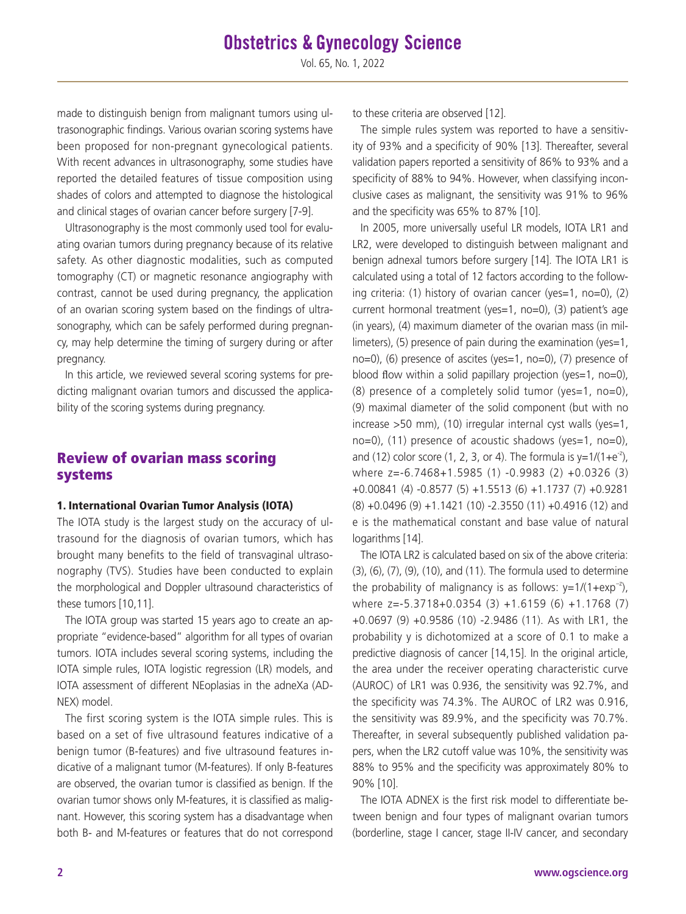made to distinguish benign from malignant tumors using ultrasonographic findings. Various ovarian scoring systems have been proposed for non-pregnant gynecological patients. With recent advances in ultrasonography, some studies have reported the detailed features of tissue composition using shades of colors and attempted to diagnose the histological and clinical stages of ovarian cancer before surgery [7-9].

Ultrasonography is the most commonly used tool for evaluating ovarian tumors during pregnancy because of its relative safety. As other diagnostic modalities, such as computed tomography (CT) or magnetic resonance angiography with contrast, cannot be used during pregnancy, the application of an ovarian scoring system based on the findings of ultrasonography, which can be safely performed during pregnancy, may help determine the timing of surgery during or after pregnancy.

In this article, we reviewed several scoring systems for predicting malignant ovarian tumors and discussed the applicability of the scoring systems during pregnancy.

## Review of ovarian mass scoring systems

#### 1. International Ovarian Tumor Analysis (IOTA)

The IOTA study is the largest study on the accuracy of ultrasound for the diagnosis of ovarian tumors, which has brought many benefits to the field of transvaginal ultrasonography (TVS). Studies have been conducted to explain the morphological and Doppler ultrasound characteristics of these tumors [10,11].

The IOTA group was started 15 years ago to create an appropriate "evidence-based" algorithm for all types of ovarian tumors. IOTA includes several scoring systems, including the IOTA simple rules, IOTA logistic regression (LR) models, and IOTA assessment of different NEoplasias in the adneXa (AD-NEX) model.

The first scoring system is the IOTA simple rules. This is based on a set of five ultrasound features indicative of a benign tumor (B-features) and five ultrasound features indicative of a malignant tumor (M-features). If only B-features are observed, the ovarian tumor is classified as benign. If the ovarian tumor shows only M-features, it is classified as malignant. However, this scoring system has a disadvantage when both B- and M-features or features that do not correspond to these criteria are observed [12].

The simple rules system was reported to have a sensitivity of 93% and a specificity of 90% [13]. Thereafter, several validation papers reported a sensitivity of 86% to 93% and a specificity of 88% to 94%. However, when classifying inconclusive cases as malignant, the sensitivity was 91% to 96% and the specificity was 65% to 87% [10].

In 2005, more universally useful LR models, IOTA LR1 and LR2, were developed to distinguish between malignant and benign adnexal tumors before surgery [14]. The IOTA LR1 is calculated using a total of 12 factors according to the following criteria: (1) history of ovarian cancer (yes=1, no=0), (2) current hormonal treatment (yes=1, no=0), (3) patient's age (in years), (4) maximum diameter of the ovarian mass (in millimeters), (5) presence of pain during the examination (yes=1, no=0), (6) presence of ascites (yes=1, no=0), (7) presence of blood flow within a solid papillary projection (yes=1, no=0), (8) presence of a completely solid tumor (yes=1, no=0), (9) maximal diameter of the solid component (but with no increase >50 mm), (10) irregular internal cyst walls (yes=1, no=0), (11) presence of acoustic shadows (yes=1, no=0), and (12) color score (1, 2, 3, or 4). The formula is  $y=1/(1+e^{-z})$ , where z=-6.7468+1.5985 (1) -0.9983 (2) +0.0326 (3) +0.00841 (4) -0.8577 (5) +1.5513 (6) +1.1737 (7) +0.9281 (8) +0.0496 (9) +1.1421 (10) -2.3550 (11) +0.4916 (12) and e is the mathematical constant and base value of natural logarithms [14].

The IOTA LR2 is calculated based on six of the above criteria: (3), (6), (7), (9), (10), and (11). The formula used to determine the probability of malignancy is as follows:  $v=1/(1+exp^{-2})$ , where z=-5.3718+0.0354 (3) +1.6159 (6) +1.1768 (7) +0.0697 (9) +0.9586 (10) -2.9486 (11). As with LR1, the probability y is dichotomized at a score of 0.1 to make a predictive diagnosis of cancer [14,15]. In the original article, the area under the receiver operating characteristic curve (AUROC) of LR1 was 0.936, the sensitivity was 92.7%, and the specificity was 74.3%. The AUROC of LR2 was 0.916, the sensitivity was 89.9%, and the specificity was 70.7%. Thereafter, in several subsequently published validation papers, when the LR2 cutoff value was 10%, the sensitivity was 88% to 95% and the specificity was approximately 80% to 90% [10].

The IOTA ADNEX is the first risk model to differentiate between benign and four types of malignant ovarian tumors (borderline, stage I cancer, stage II-IV cancer, and secondary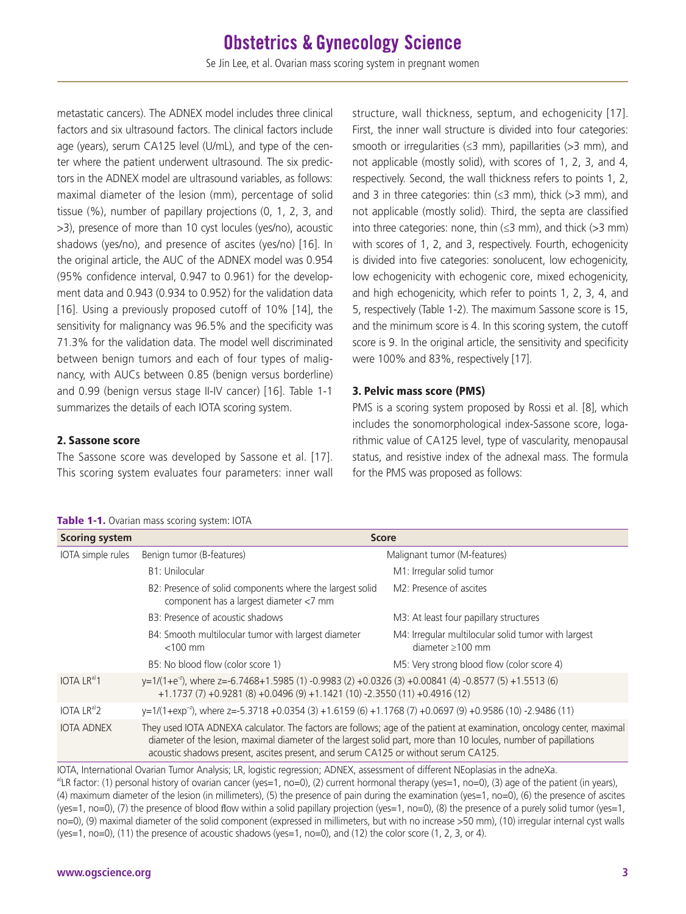metastatic cancers). The ADNEX model includes three clinical factors and six ultrasound factors. The clinical factors include age (years), serum CA125 level (U/mL), and type of the center where the patient underwent ultrasound. The six predictors in the ADNEX model are ultrasound variables, as follows: maximal diameter of the lesion (mm), percentage of solid tissue (%), number of papillary projections (0, 1, 2, 3, and >3), presence of more than 10 cyst locules (yes/no), acoustic shadows (yes/no), and presence of ascites (yes/no) [16]. In the original article, the AUC of the ADNEX model was 0.954 (95% confidence interval, 0.947 to 0.961) for the development data and 0.943 (0.934 to 0.952) for the validation data [16]. Using a previously proposed cutoff of 10% [14], the sensitivity for malignancy was 96.5% and the specificity was 71.3% for the validation data. The model well discriminated between benign tumors and each of four types of malignancy, with AUCs between 0.85 (benign versus borderline) and 0.99 (benign versus stage II-IV cancer) [16]. Table 1-1 summarizes the details of each IOTA scoring system.

structure, wall thickness, septum, and echogenicity [17]. First, the inner wall structure is divided into four categories: smooth or irregularities ( $\leq$ 3 mm), papillarities ( $>$ 3 mm), and not applicable (mostly solid), with scores of 1, 2, 3, and 4, respectively. Second, the wall thickness refers to points 1, 2, and 3 in three categories: thin  $(\leq 3$  mm), thick (>3 mm), and not applicable (mostly solid). Third, the septa are classified into three categories: none, thin  $(\leq 3$  mm), and thick  $(>3$  mm) with scores of 1, 2, and 3, respectively. Fourth, echogenicity is divided into five categories: sonolucent, low echogenicity, low echogenicity with echogenic core, mixed echogenicity, and high echogenicity, which refer to points 1, 2, 3, 4, and 5, respectively (Table 1-2). The maximum Sassone score is 15, and the minimum score is 4. In this scoring system, the cutoff score is 9. In the original article, the sensitivity and specificity were 100% and 83%, respectively [17].

#### 3. Pelvic mass score (PMS)

PMS is a scoring system proposed by Rossi et al. [8], which includes the sonomorphological index-Sassone score, logarithmic value of CA125 level, type of vascularity, menopausal status, and resistive index of the adnexal mass. The formula for the PMS was proposed as follows:

#### 2. Sassone score

The Sassone score was developed by Sassone et al. [17]. This scoring system evaluates four parameters: inner wall

**Scoring system Score Score Score Score** 

Table 1-1. Ovarian mass scoring system: IOTA

| IOTA simple rules                                                                                                                                                                                                                                                                                                                                                | Benign tumor (B-features)                                                                                                                                                                              | Malignant tumor (M-features)                                                                                           |  |  |  |
|------------------------------------------------------------------------------------------------------------------------------------------------------------------------------------------------------------------------------------------------------------------------------------------------------------------------------------------------------------------|--------------------------------------------------------------------------------------------------------------------------------------------------------------------------------------------------------|------------------------------------------------------------------------------------------------------------------------|--|--|--|
|                                                                                                                                                                                                                                                                                                                                                                  | B1: Unilocular                                                                                                                                                                                         | M1: Irregular solid tumor                                                                                              |  |  |  |
|                                                                                                                                                                                                                                                                                                                                                                  | B2: Presence of solid components where the largest solid<br>component has a largest diameter <7 mm                                                                                                     | M2: Presence of ascites                                                                                                |  |  |  |
|                                                                                                                                                                                                                                                                                                                                                                  | B3: Presence of acoustic shadows                                                                                                                                                                       | M3: At least four papillary structures                                                                                 |  |  |  |
|                                                                                                                                                                                                                                                                                                                                                                  | B4: Smooth multilocular tumor with largest diameter<br>$<$ 100 mm                                                                                                                                      | M4: Irregular multilocular solid tumor with largest<br>diameter $\geq 100$ mm                                          |  |  |  |
|                                                                                                                                                                                                                                                                                                                                                                  | B5: No blood flow (color score 1)                                                                                                                                                                      | M5: Very strong blood flow (color score 4)                                                                             |  |  |  |
| IOTA $LR^{a)}1$                                                                                                                                                                                                                                                                                                                                                  | y=1/(1+e <sup>-2</sup> ), where z=-6.7468+1.5985 (1) -0.9983 (2) +0.0326 (3) +0.00841 (4) -0.8577 (5) +1.5513 (6)<br>$+1.1737(7) +0.9281(8) +0.0496(9) +1.1421(10) -2.3550(11) +0.4916(12)$            |                                                                                                                        |  |  |  |
| IOTA $LR^{a/2}$                                                                                                                                                                                                                                                                                                                                                  | y=1/(1+exp <sup>-2</sup> ), where z=-5.3718 +0.0354 (3) +1.6159 (6) +1.1768 (7) +0.0697 (9) +0.9586 (10) -2.9486 (11)                                                                                  |                                                                                                                        |  |  |  |
| <b>IOTA ADNEX</b>                                                                                                                                                                                                                                                                                                                                                | diameter of the lesion, maximal diameter of the largest solid part, more than 10 locules, number of papillations<br>acoustic shadows present, ascites present, and serum CA125 or without serum CA125. | They used IOTA ADNEXA calculator. The factors are follows; age of the patient at examination, oncology center, maximal |  |  |  |
| IOTA, International Ovarian Tumor Analysis; LR, logistic regression; ADNEX, assessment of different NEoplasias in the adneXa.<br>$\sim$ , and the set of the set of the set of the set of the set of the set of the set of the set of the set of the set of the set of the set of the set of the set of the set of the set of the set of the set of the set of t |                                                                                                                                                                                                        |                                                                                                                        |  |  |  |

<sup>a)</sup>LR factor: (1) personal history of ovarian cancer (yes=1, no=0), (2) current hormonal therapy (yes=1, no=0), (3) age of the patient (in years), (4) maximum diameter of the lesion (in millimeters), (5) the presence of pain during the examination (yes=1, no=0), (6) the presence of ascites (yes=1, no=0), (7) the presence of blood flow within a solid papillary projection (yes=1, no=0), (8) the presence of a purely solid tumor (yes=1, no=0), (9) maximal diameter of the solid component (expressed in millimeters, but with no increase >50 mm), (10) irregular internal cyst walls (yes=1, no=0), (11) the presence of acoustic shadows (yes=1, no=0), and (12) the color score (1, 2, 3, or 4).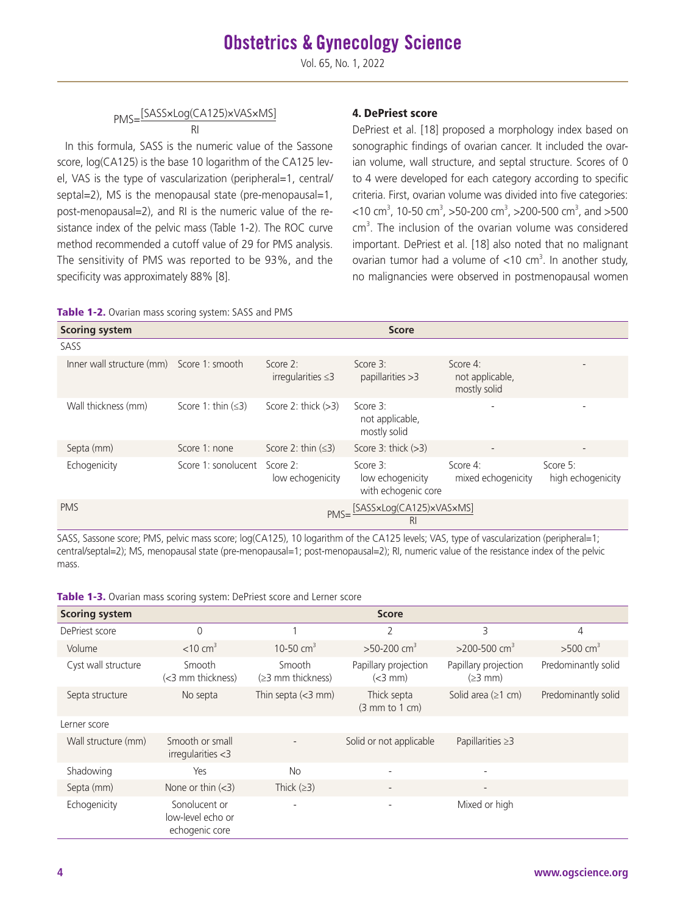## PMS=[SASS×Log(CA125)×VAS×MS]

RI In this formula, SASS is the numeric value of the Sassone score, log(CA125) is the base 10 logarithm of the CA125 level, VAS is the type of vascularization (peripheral=1, central/ septal=2), MS is the menopausal state (pre-menopausal=1, post-menopausal=2), and RI is the numeric value of the resistance index of the pelvic mass (Table 1-2). The ROC curve method recommended a cutoff value of 29 for PMS analysis. The sensitivity of PMS was reported to be 93%, and the specificity was approximately 88% [8].

#### 4. DePriest score

DePriest et al. [18] proposed a morphology index based on sonographic findings of ovarian cancer. It included the ovarian volume, wall structure, and septal structure. Scores of 0 to 4 were developed for each category according to specific criteria. First, ovarian volume was divided into five categories:  $<$ 10 cm<sup>3</sup>, 10-50 cm<sup>3</sup>, >50-200 cm<sup>3</sup>, >200-500 cm<sup>3</sup>, and >500 cm<sup>3</sup>. The inclusion of the ovarian volume was considered important. DePriest et al. [18] also noted that no malignant ovarian tumor had a volume of  $<$ 10 cm<sup>3</sup>. In another study, no malignancies were observed in postmenopausal women

|  | Table 1-2. Ovarian mass scoring system: SASS and PMS |
|--|------------------------------------------------------|
|--|------------------------------------------------------|

| <b>Scoring system</b>                     |                          |                                        | <b>Score</b>                                           |                                             |                               |
|-------------------------------------------|--------------------------|----------------------------------------|--------------------------------------------------------|---------------------------------------------|-------------------------------|
| SASS                                      |                          |                                        |                                                        |                                             |                               |
| Inner wall structure (mm) Score 1: smooth |                          | Score $2$ :<br>irregularities $\leq 3$ | Score 3:<br>papillarities $>3$                         | Score 4:<br>not applicable,<br>mostly solid |                               |
| Wall thickness (mm)                       | Score 1: thin $(\leq 3)$ | Score 2: thick $(>3)$                  | Score 3:<br>not applicable,<br>mostly solid            | $\overline{\phantom{0}}$                    |                               |
| Septa (mm)                                | Score 1: none            | Score 2: thin $(\leq 3)$               | Score $3:$ thick $(>3)$                                | $\overline{\phantom{0}}$                    |                               |
| Echogenicity                              | Score 1: sonolucent      | Score 2:<br>low echogenicity           | Score $3$ :<br>low echogenicity<br>with echogenic core | Score 4:<br>mixed echogenicity              | Score 5:<br>high echogenicity |
| <b>PMS</b>                                |                          |                                        | PMS=[SASSxLog(CA125)xVASxMS]<br>R <sub>l</sub>         |                                             |                               |

SASS, Sassone score; PMS, pelvic mass score; log(CA125), 10 logarithm of the CA125 levels; VAS, type of vascularization (peripheral=1; central/septal=2); MS, menopausal state (pre-menopausal=1; post-menopausal=2); RI, numeric value of the resistance index of the pelvic mass.

| <b>Scoring system</b> |                                                      |                                  | <b>Score</b>                         |                                   |                        |
|-----------------------|------------------------------------------------------|----------------------------------|--------------------------------------|-----------------------------------|------------------------|
| DePriest score        | $\Omega$                                             |                                  | 2                                    | 3                                 | 4                      |
| Volume                | $<$ 10 cm <sup>3</sup>                               | 10-50 $cm3$                      | $>50-200$ cm <sup>3</sup>            | $>$ 200-500 cm <sup>3</sup>       | $>500$ cm <sup>3</sup> |
| Cyst wall structure   | Smooth<br>(<3 mm thickness)                          | Smooth<br>$(\geq)$ mm thickness) | Papillary projection<br>$(<3$ mm $)$ | Papillary projection<br>$(23$ mm) | Predominantly solid    |
| Septa structure       | No septa                                             | Thin septa $(<$ 3 mm)            | Thick septa<br>(3 mm to 1 cm)        | Solid area $(\geq 1$ cm)          | Predominantly solid    |
| Lerner score          |                                                      |                                  |                                      |                                   |                        |
| Wall structure (mm)   | Smooth or small<br>irregularities < 3                |                                  | Solid or not applicable              | Papillarities $\geq$ 3            |                        |
| Shadowing             | Yes                                                  | <b>No</b>                        | $\overline{\phantom{0}}$             |                                   |                        |
| Septa (mm)            | None or thin $(<3)$                                  | Thick $(≥3)$                     | $\qquad \qquad -$                    | $\overline{\phantom{a}}$          |                        |
| Echogenicity          | Sonolucent or<br>low-level echo or<br>echogenic core | $\overline{\phantom{0}}$         |                                      | Mixed or high                     |                        |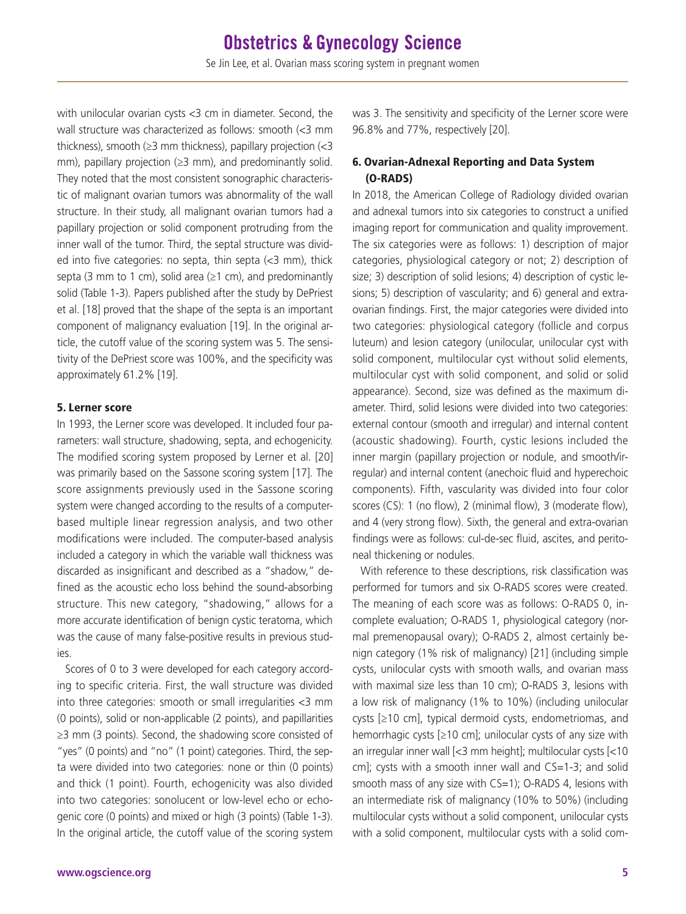with unilocular ovarian cysts <3 cm in diameter. Second, the wall structure was characterized as follows: smooth (<3 mm thickness), smooth ( $\geq$ 3 mm thickness), papillary projection (<3 mm), papillary projection ( $\geq$ 3 mm), and predominantly solid. They noted that the most consistent sonographic characteristic of malignant ovarian tumors was abnormality of the wall structure. In their study, all malignant ovarian tumors had a papillary projection or solid component protruding from the inner wall of the tumor. Third, the septal structure was divided into five categories: no septa, thin septa  $\left($ <3 mm), thick septa (3 mm to 1 cm), solid area ( $\geq$ 1 cm), and predominantly solid (Table 1-3). Papers published after the study by DePriest et al. [18] proved that the shape of the septa is an important component of malignancy evaluation [19]. In the original article, the cutoff value of the scoring system was 5. The sensitivity of the DePriest score was 100%, and the specificity was approximately 61.2% [19].

#### 5. Lerner score

In 1993, the Lerner score was developed. It included four parameters: wall structure, shadowing, septa, and echogenicity. The modified scoring system proposed by Lerner et al. [20] was primarily based on the Sassone scoring system [17]. The score assignments previously used in the Sassone scoring system were changed according to the results of a computerbased multiple linear regression analysis, and two other modifications were included. The computer-based analysis included a category in which the variable wall thickness was discarded as insignificant and described as a "shadow," defined as the acoustic echo loss behind the sound-absorbing structure. This new category, "shadowing," allows for a more accurate identification of benign cystic teratoma, which was the cause of many false-positive results in previous studies.

Scores of 0 to 3 were developed for each category according to specific criteria. First, the wall structure was divided into three categories: smooth or small irregularities <3 mm (0 points), solid or non-applicable (2 points), and papillarities ≥3 mm (3 points). Second, the shadowing score consisted of "yes" (0 points) and "no" (1 point) categories. Third, the septa were divided into two categories: none or thin (0 points) and thick (1 point). Fourth, echogenicity was also divided into two categories: sonolucent or low-level echo or echogenic core (0 points) and mixed or high (3 points) (Table 1-3). In the original article, the cutoff value of the scoring system

was 3. The sensitivity and specificity of the Lerner score were 96.8% and 77%, respectively [20].

#### 6. Ovarian-Adnexal Reporting and Data System (O-RADS)

In 2018, the American College of Radiology divided ovarian and adnexal tumors into six categories to construct a unified imaging report for communication and quality improvement. The six categories were as follows: 1) description of major categories, physiological category or not; 2) description of size; 3) description of solid lesions; 4) description of cystic lesions; 5) description of vascularity; and 6) general and extraovarian findings. First, the major categories were divided into two categories: physiological category (follicle and corpus luteum) and lesion category (unilocular, unilocular cyst with solid component, multilocular cyst without solid elements, multilocular cyst with solid component, and solid or solid appearance). Second, size was defined as the maximum diameter. Third, solid lesions were divided into two categories: external contour (smooth and irregular) and internal content (acoustic shadowing). Fourth, cystic lesions included the inner margin (papillary projection or nodule, and smooth/irregular) and internal content (anechoic fluid and hyperechoic components). Fifth, vascularity was divided into four color scores (CS): 1 (no flow), 2 (minimal flow), 3 (moderate flow), and 4 (very strong flow). Sixth, the general and extra-ovarian findings were as follows: cul-de-sec fluid, ascites, and peritoneal thickening or nodules.

With reference to these descriptions, risk classification was performed for tumors and six O-RADS scores were created. The meaning of each score was as follows: O-RADS 0, incomplete evaluation; O-RADS 1, physiological category (normal premenopausal ovary); O-RADS 2, almost certainly benign category (1% risk of malignancy) [21] (including simple cysts, unilocular cysts with smooth walls, and ovarian mass with maximal size less than 10 cm); O-RADS 3, lesions with a low risk of malignancy (1% to 10%) (including unilocular cysts [≥10 cm], typical dermoid cysts, endometriomas, and hemorrhagic cysts [≥10 cm]; unilocular cysts of any size with an irregular inner wall [<3 mm height]; multilocular cysts [<10 cm]; cysts with a smooth inner wall and CS=1-3; and solid smooth mass of any size with CS=1); O-RADS 4, lesions with an intermediate risk of malignancy (10% to 50%) (including multilocular cysts without a solid component, unilocular cysts with a solid component, multilocular cysts with a solid com-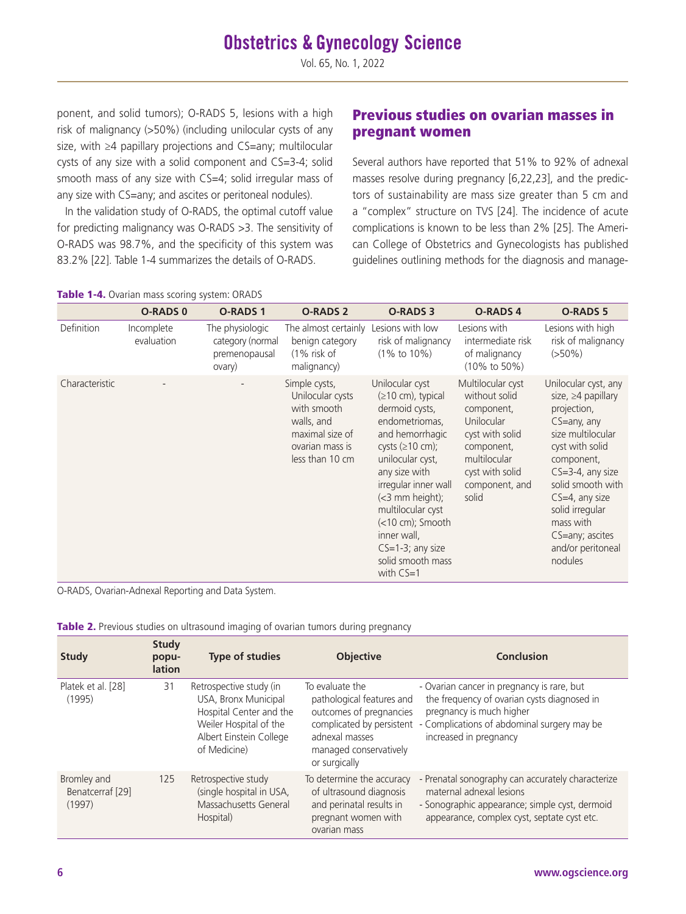## **Obstetrics & Gynecology Science**

Vol. 65, No. 1, 2022

ponent, and solid tumors); O-RADS 5, lesions with a high risk of malignancy (>50%) (including unilocular cysts of any size, with ≥4 papillary projections and CS=any; multilocular cysts of any size with a solid component and CS=3-4; solid smooth mass of any size with CS=4; solid irregular mass of any size with CS=any; and ascites or peritoneal nodules).

In the validation study of O-RADS, the optimal cutoff value for predicting malignancy was O-RADS >3. The sensitivity of O-RADS was 98.7%, and the specificity of this system was 83.2% [22]. Table 1-4 summarizes the details of O-RADS.

## Previous studies on ovarian masses in pregnant women

Several authors have reported that 51% to 92% of adnexal masses resolve during pregnancy [6,22,23], and the predictors of sustainability are mass size greater than 5 cm and a "complex" structure on TVS [24]. The incidence of acute complications is known to be less than 2% [25]. The American College of Obstetrics and Gynecologists has published guidelines outlining methods for the diagnosis and manage-

|                   | <b>O-RADS 0</b>          | <b>O-RADS1</b>                                                 | <b>O-RADS 2</b>                                                                                                         | <b>O-RADS 3</b>                                                                                                                                                                                                                                                                                                                                  | <b>O-RADS4</b>                                                                                                                                                | <b>O-RADS 5</b>                                                                                                                                                                                                                                                                            |
|-------------------|--------------------------|----------------------------------------------------------------|-------------------------------------------------------------------------------------------------------------------------|--------------------------------------------------------------------------------------------------------------------------------------------------------------------------------------------------------------------------------------------------------------------------------------------------------------------------------------------------|---------------------------------------------------------------------------------------------------------------------------------------------------------------|--------------------------------------------------------------------------------------------------------------------------------------------------------------------------------------------------------------------------------------------------------------------------------------------|
| <b>Definition</b> | Incomplete<br>evaluation | The physiologic<br>category (normal<br>premenopausal<br>ovary) | The almost certainly<br>benign category<br>$(1\%$ risk of<br>malignancy)                                                | Lesions with low<br>risk of malignancy<br>$(1\% \text{ to } 10\%)$                                                                                                                                                                                                                                                                               | Lesions with<br>intermediate risk<br>of malignancy<br>$(10\% \text{ to } 50\%)$                                                                               | Lesions with high<br>risk of malignancy<br>$(>50\%)$                                                                                                                                                                                                                                       |
| Characteristic    |                          |                                                                | Simple cysts,<br>Unilocular cysts<br>with smooth<br>walls, and<br>maximal size of<br>ovarian mass is<br>less than 10 cm | Unilocular cyst<br>$( \ge 10 \text{ cm} )$ , typical<br>dermoid cysts,<br>endometriomas,<br>and hemorrhagic<br>cysts $(\geq 10 \text{ cm})$ ;<br>unilocular cyst,<br>any size with<br>irregular inner wall<br>(<3 mm height);<br>multilocular cyst<br>(<10 cm); Smooth<br>inner wall,<br>$CS=1-3$ ; any size<br>solid smooth mass<br>with $CS=1$ | Multilocular cyst<br>without solid<br>component,<br>Unilocular<br>cyst with solid<br>component,<br>multilocular<br>cyst with solid<br>component, and<br>solid | Unilocular cyst, any<br>size, $\geq 4$ papillary<br>projection,<br>CS=any, any<br>size multilocular<br>cyst with solid<br>component,<br>$CS = 3-4$ , any size<br>solid smooth with<br>$CS=4$ , any size<br>solid irregular<br>mass with<br>CS=any; ascites<br>and/or peritoneal<br>nodules |

Table 1-4. Ovarian mass scoring system: ORADS

O-RADS, Ovarian-Adnexal Reporting and Data System.

|  |  | Table 2. Previous studies on ultrasound imaging of ovarian tumors during pregnancy |
|--|--|------------------------------------------------------------------------------------|
|  |  |                                                                                    |

| <b>Study</b>                              | <b>Study</b><br>popu-<br><b>lation</b> | <b>Type of studies</b>                                                                                                                          | <b>Objective</b>                                                                                                                                                  | Conclusion                                                                                                                                                                                     |
|-------------------------------------------|----------------------------------------|-------------------------------------------------------------------------------------------------------------------------------------------------|-------------------------------------------------------------------------------------------------------------------------------------------------------------------|------------------------------------------------------------------------------------------------------------------------------------------------------------------------------------------------|
| Platek et al. [28]<br>(1995)              | 31                                     | Retrospective study (in<br>USA, Bronx Municipal<br>Hospital Center and the<br>Weiler Hospital of the<br>Albert Einstein College<br>of Medicine) | To evaluate the<br>pathological features and<br>outcomes of pregnancies<br>complicated by persistent<br>adnexal masses<br>managed conservatively<br>or surgically | - Ovarian cancer in pregnancy is rare, but<br>the frequency of ovarian cysts diagnosed in<br>pregnancy is much higher<br>- Complications of abdominal surgery may be<br>increased in pregnancy |
| Bromley and<br>Benatcerraf [29]<br>(1997) | 125                                    | Retrospective study<br>(single hospital in USA,<br>Massachusetts General<br>Hospital)                                                           | To determine the accuracy<br>of ultrasound diagnosis<br>and perinatal results in<br>pregnant women with<br>ovarian mass                                           | - Prenatal sonography can accurately characterize<br>maternal adnexal lesions<br>- Sonographic appearance; simple cyst, dermoid<br>appearance, complex cyst, septate cyst etc.                 |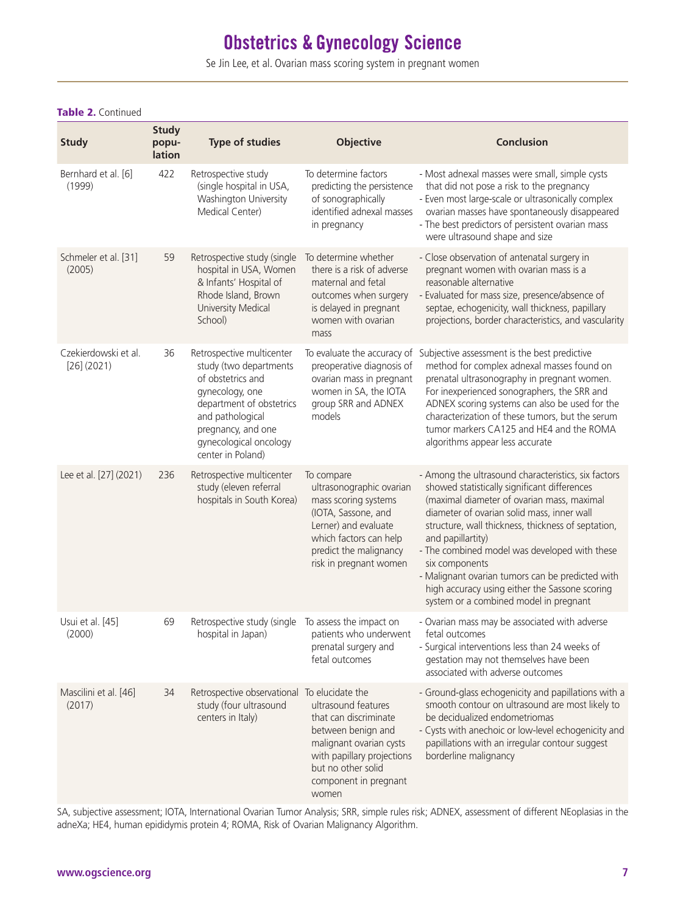## **Obstetrics & Gynecology Science**

Se Jin Lee, et al. Ovarian mass scoring system in pregnant women

| <b>Study</b>                          | <b>Study</b><br>popu-<br>lation | <b>Type of studies</b>                                                                                                                                                                                           | <b>Objective</b>                                                                                                                                                                                        | <b>Conclusion</b>                                                                                                                                                                                                                                                                                                                                                                                                                                                                             |
|---------------------------------------|---------------------------------|------------------------------------------------------------------------------------------------------------------------------------------------------------------------------------------------------------------|---------------------------------------------------------------------------------------------------------------------------------------------------------------------------------------------------------|-----------------------------------------------------------------------------------------------------------------------------------------------------------------------------------------------------------------------------------------------------------------------------------------------------------------------------------------------------------------------------------------------------------------------------------------------------------------------------------------------|
| Bernhard et al. [6]<br>(1999)         | 422                             | Retrospective study<br>(single hospital in USA,<br>Washington University<br>Medical Center)                                                                                                                      | To determine factors<br>predicting the persistence<br>of sonographically<br>identified adnexal masses<br>in pregnancy                                                                                   | - Most adnexal masses were small, simple cysts<br>that did not pose a risk to the pregnancy<br>- Even most large-scale or ultrasonically complex<br>ovarian masses have spontaneously disappeared<br>- The best predictors of persistent ovarian mass<br>were ultrasound shape and size                                                                                                                                                                                                       |
| Schmeler et al. [31]<br>(2005)        | 59                              | Retrospective study (single<br>hospital in USA, Women<br>& Infants' Hospital of<br>Rhode Island, Brown<br>University Medical<br>School)                                                                          | To determine whether<br>there is a risk of adverse<br>maternal and fetal<br>outcomes when surgery<br>is delayed in pregnant<br>women with ovarian<br>mass                                               | - Close observation of antenatal surgery in<br>pregnant women with ovarian mass is a<br>reasonable alternative<br>- Evaluated for mass size, presence/absence of<br>septae, echogenicity, wall thickness, papillary<br>projections, border characteristics, and vascularity                                                                                                                                                                                                                   |
| Czekierdowski et al.<br>$[26]$ (2021) | 36                              | Retrospective multicenter<br>study (two departments<br>of obstetrics and<br>gynecology, one<br>department of obstetrics<br>and pathological<br>pregnancy, and one<br>gynecological oncology<br>center in Poland) | To evaluate the accuracy of<br>preoperative diagnosis of<br>ovarian mass in pregnant<br>women in SA, the IOTA<br>group SRR and ADNEX<br>models                                                          | Subjective assessment is the best predictive<br>method for complex adnexal masses found on<br>prenatal ultrasonography in pregnant women.<br>For inexperienced sonographers, the SRR and<br>ADNEX scoring systems can also be used for the<br>characterization of these tumors, but the serum<br>tumor markers CA125 and HE4 and the ROMA<br>algorithms appear less accurate                                                                                                                  |
| Lee et al. [27] (2021)                | 236                             | Retrospective multicenter<br>study (eleven referral<br>hospitals in South Korea)                                                                                                                                 | To compare<br>ultrasonographic ovarian<br>mass scoring systems<br>(IOTA, Sassone, and<br>Lerner) and evaluate<br>which factors can help<br>predict the malignancy<br>risk in pregnant women             | - Among the ultrasound characteristics, six factors<br>showed statistically significant differences<br>(maximal diameter of ovarian mass, maximal<br>diameter of ovarian solid mass, inner wall<br>structure, wall thickness, thickness of septation,<br>and papillartity)<br>- The combined model was developed with these<br>six components<br>- Malignant ovarian tumors can be predicted with<br>high accuracy using either the Sassone scoring<br>system or a combined model in pregnant |
| Usui et al. [45]<br>(2000)            | 69                              | Retrospective study (single To assess the impact on<br>hospital in Japan)                                                                                                                                        | patients who underwent<br>prenatal surgery and<br>fetal outcomes                                                                                                                                        | - Ovarian mass may be associated with adverse<br>fetal outcomes<br>- Surgical interventions less than 24 weeks of<br>gestation may not themselves have been<br>associated with adverse outcomes                                                                                                                                                                                                                                                                                               |
| Mascilini et al. [46]<br>(2017)       | 34                              | Retrospective observational<br>study (four ultrasound<br>centers in Italy)                                                                                                                                       | To elucidate the<br>ultrasound features<br>that can discriminate<br>between benign and<br>malignant ovarian cysts<br>with papillary projections<br>but no other solid<br>component in pregnant<br>women | - Ground-glass echogenicity and papillations with a<br>smooth contour on ultrasound are most likely to<br>be decidualized endometriomas<br>- Cysts with anechoic or low-level echogenicity and<br>papillations with an irregular contour suggest<br>borderline malignancy                                                                                                                                                                                                                     |

#### Table 2. Continued

SA, subjective assessment; IOTA, International Ovarian Tumor Analysis; SRR, simple rules risk; ADNEX, assessment of different NEoplasias in the adneXa; HE4, human epididymis protein 4; ROMA, Risk of Ovarian Malignancy Algorithm.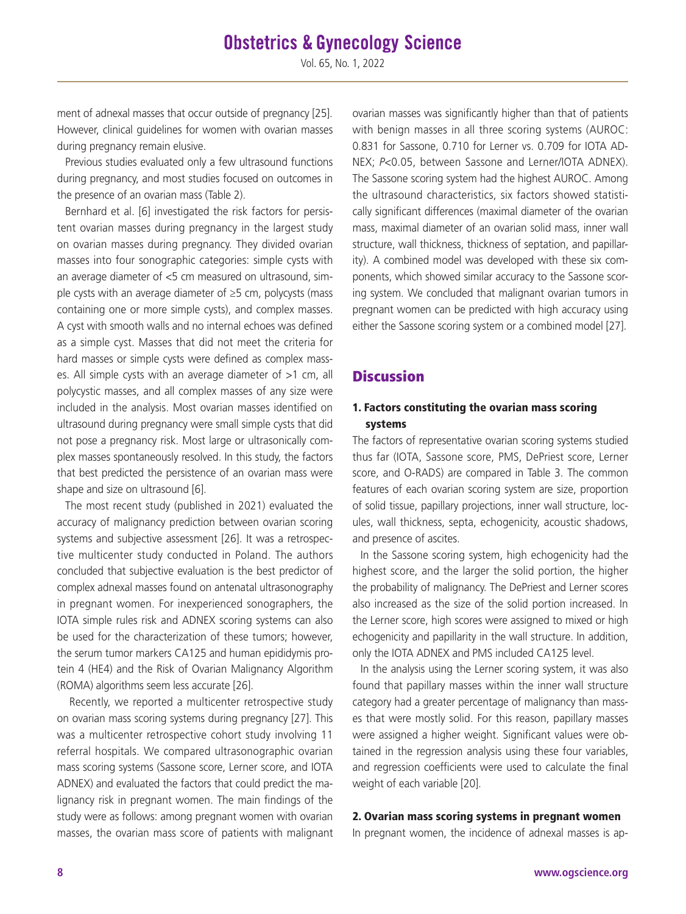ment of adnexal masses that occur outside of pregnancy [25]. However, clinical guidelines for women with ovarian masses during pregnancy remain elusive.

Previous studies evaluated only a few ultrasound functions during pregnancy, and most studies focused on outcomes in the presence of an ovarian mass (Table 2).

Bernhard et al. [6] investigated the risk factors for persistent ovarian masses during pregnancy in the largest study on ovarian masses during pregnancy. They divided ovarian masses into four sonographic categories: simple cysts with an average diameter of <5 cm measured on ultrasound, simple cysts with an average diameter of ≥5 cm, polycysts (mass containing one or more simple cysts), and complex masses. A cyst with smooth walls and no internal echoes was defined as a simple cyst. Masses that did not meet the criteria for hard masses or simple cysts were defined as complex masses. All simple cysts with an average diameter of >1 cm, all polycystic masses, and all complex masses of any size were included in the analysis. Most ovarian masses identified on ultrasound during pregnancy were small simple cysts that did not pose a pregnancy risk. Most large or ultrasonically complex masses spontaneously resolved. In this study, the factors that best predicted the persistence of an ovarian mass were shape and size on ultrasound [6].

The most recent study (published in 2021) evaluated the accuracy of malignancy prediction between ovarian scoring systems and subjective assessment [26]. It was a retrospective multicenter study conducted in Poland. The authors concluded that subjective evaluation is the best predictor of complex adnexal masses found on antenatal ultrasonography in pregnant women. For inexperienced sonographers, the IOTA simple rules risk and ADNEX scoring systems can also be used for the characterization of these tumors; however, the serum tumor markers CA125 and human epididymis protein 4 (HE4) and the Risk of Ovarian Malignancy Algorithm (ROMA) algorithms seem less accurate [26].

 Recently, we reported a multicenter retrospective study on ovarian mass scoring systems during pregnancy [27]. This was a multicenter retrospective cohort study involving 11 referral hospitals. We compared ultrasonographic ovarian mass scoring systems (Sassone score, Lerner score, and IOTA ADNEX) and evaluated the factors that could predict the malignancy risk in pregnant women. The main findings of the study were as follows: among pregnant women with ovarian masses, the ovarian mass score of patients with malignant ovarian masses was significantly higher than that of patients with benign masses in all three scoring systems (AUROC: 0.831 for Sassone, 0.710 for Lerner vs. 0.709 for IOTA AD-NEX; *P*<0.05, between Sassone and Lerner/IOTA ADNEX). The Sassone scoring system had the highest AUROC. Among the ultrasound characteristics, six factors showed statistically significant differences (maximal diameter of the ovarian mass, maximal diameter of an ovarian solid mass, inner wall structure, wall thickness, thickness of septation, and papillarity). A combined model was developed with these six components, which showed similar accuracy to the Sassone scoring system. We concluded that malignant ovarian tumors in pregnant women can be predicted with high accuracy using either the Sassone scoring system or a combined model [27].

### **Discussion**

#### 1. Factors constituting the ovarian mass scoring systems

The factors of representative ovarian scoring systems studied thus far (IOTA, Sassone score, PMS, DePriest score, Lerner score, and O-RADS) are compared in Table 3. The common features of each ovarian scoring system are size, proportion of solid tissue, papillary projections, inner wall structure, locules, wall thickness, septa, echogenicity, acoustic shadows, and presence of ascites.

In the Sassone scoring system, high echogenicity had the highest score, and the larger the solid portion, the higher the probability of malignancy. The DePriest and Lerner scores also increased as the size of the solid portion increased. In the Lerner score, high scores were assigned to mixed or high echogenicity and papillarity in the wall structure. In addition, only the IOTA ADNEX and PMS included CA125 level.

In the analysis using the Lerner scoring system, it was also found that papillary masses within the inner wall structure category had a greater percentage of malignancy than masses that were mostly solid. For this reason, papillary masses were assigned a higher weight. Significant values were obtained in the regression analysis using these four variables, and regression coefficients were used to calculate the final weight of each variable [20].

#### 2. Ovarian mass scoring systems in pregnant women

In pregnant women, the incidence of adnexal masses is ap-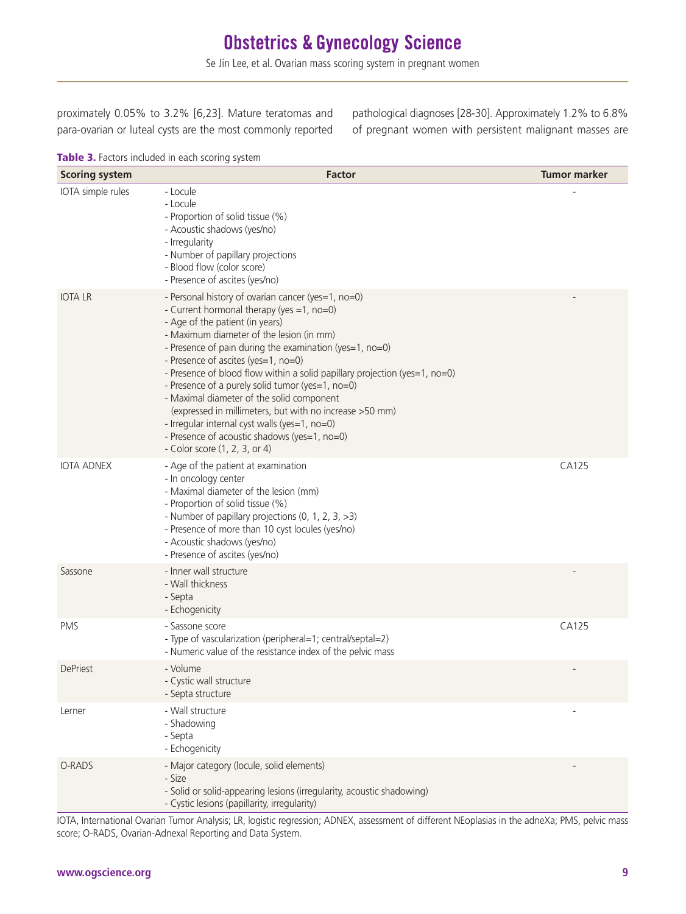Se Jin Lee, et al. Ovarian mass scoring system in pregnant women

proximately 0.05% to 3.2% [6,23]. Mature teratomas and para-ovarian or luteal cysts are the most commonly reported pathological diagnoses [28-30]. Approximately 1.2% to 6.8% of pregnant women with persistent malignant masses are

Table 3. Factors included in each scoring system

| <b>Scoring system</b> | <b>Factor</b>                                                                                                                                                                                                                                                                                                                                                                                                                                                                                                                                                                                                                                                | <b>Tumor marker</b> |
|-----------------------|--------------------------------------------------------------------------------------------------------------------------------------------------------------------------------------------------------------------------------------------------------------------------------------------------------------------------------------------------------------------------------------------------------------------------------------------------------------------------------------------------------------------------------------------------------------------------------------------------------------------------------------------------------------|---------------------|
| IOTA simple rules     | - Locule<br>- Locule<br>- Proportion of solid tissue (%)<br>- Acoustic shadows (yes/no)<br>- Irregularity<br>- Number of papillary projections<br>- Blood flow (color score)<br>- Presence of ascites (yes/no)                                                                                                                                                                                                                                                                                                                                                                                                                                               |                     |
| <b>IOTA LR</b>        | - Personal history of ovarian cancer (yes=1, no=0)<br>- Current hormonal therapy (yes =1, no=0)<br>- Age of the patient (in years)<br>- Maximum diameter of the lesion (in mm)<br>- Presence of pain during the examination (yes=1, no=0)<br>- Presence of ascites (yes=1, no=0)<br>- Presence of blood flow within a solid papillary projection (yes=1, no=0)<br>- Presence of a purely solid tumor (yes=1, no=0)<br>- Maximal diameter of the solid component<br>(expressed in millimeters, but with no increase >50 mm)<br>- Irregular internal cyst walls (yes=1, no=0)<br>- Presence of acoustic shadows (yes=1, no=0)<br>- Color score (1, 2, 3, or 4) |                     |
| <b>IOTA ADNEX</b>     | - Age of the patient at examination<br>- In oncology center<br>- Maximal diameter of the lesion (mm)<br>- Proportion of solid tissue (%)<br>- Number of papillary projections (0, 1, 2, 3, >3)<br>- Presence of more than 10 cyst locules (yes/no)<br>- Acoustic shadows (yes/no)<br>- Presence of ascites (yes/no)                                                                                                                                                                                                                                                                                                                                          | CA125               |
| Sassone               | - Inner wall structure<br>- Wall thickness<br>- Septa<br>- Echogenicity                                                                                                                                                                                                                                                                                                                                                                                                                                                                                                                                                                                      |                     |
| <b>PMS</b>            | - Sassone score<br>- Type of vascularization (peripheral=1; central/septal=2)<br>- Numeric value of the resistance index of the pelvic mass                                                                                                                                                                                                                                                                                                                                                                                                                                                                                                                  | CA125               |
| <b>DePriest</b>       | - Volume<br>- Cystic wall structure<br>- Septa structure                                                                                                                                                                                                                                                                                                                                                                                                                                                                                                                                                                                                     |                     |
| Lerner                | - Wall structure<br>- Shadowing<br>- Septa<br>- Echogenicity                                                                                                                                                                                                                                                                                                                                                                                                                                                                                                                                                                                                 |                     |
| O-RADS                | - Major category (locule, solid elements)<br>- Size<br>- Solid or solid-appearing lesions (irregularity, acoustic shadowing)<br>- Cystic lesions (papillarity, irregularity)                                                                                                                                                                                                                                                                                                                                                                                                                                                                                 |                     |

IOTA, International Ovarian Tumor Analysis; LR, logistic regression; ADNEX, assessment of different NEoplasias in the adneXa; PMS, pelvic mass score; O-RADS, Ovarian-Adnexal Reporting and Data System.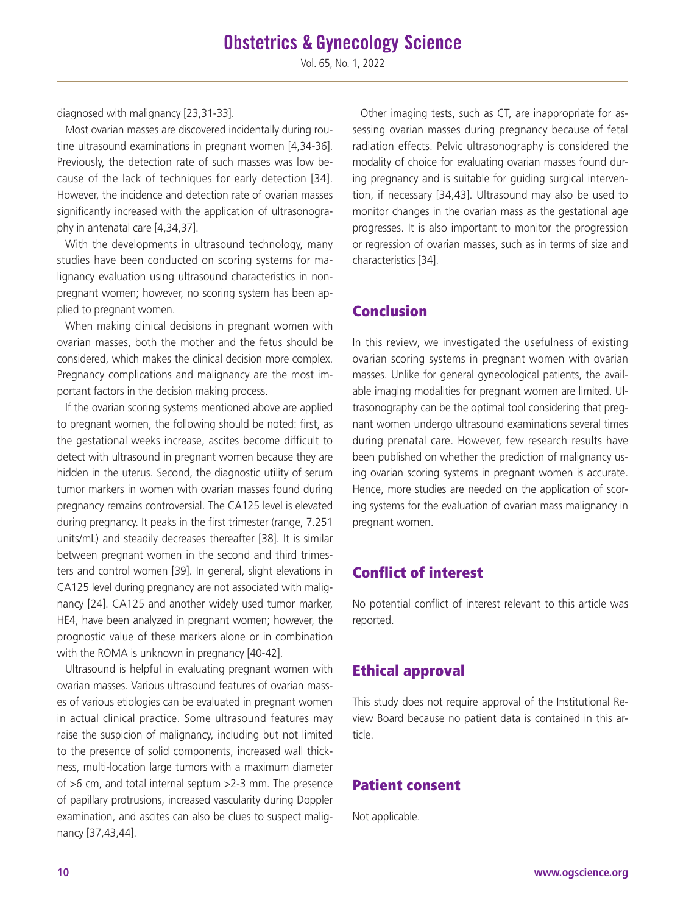diagnosed with malignancy [23,31-33].

Most ovarian masses are discovered incidentally during routine ultrasound examinations in pregnant women [4,34-36]. Previously, the detection rate of such masses was low because of the lack of techniques for early detection [34]. However, the incidence and detection rate of ovarian masses significantly increased with the application of ultrasonography in antenatal care [4,34,37].

With the developments in ultrasound technology, many studies have been conducted on scoring systems for malignancy evaluation using ultrasound characteristics in nonpregnant women; however, no scoring system has been applied to pregnant women.

When making clinical decisions in pregnant women with ovarian masses, both the mother and the fetus should be considered, which makes the clinical decision more complex. Pregnancy complications and malignancy are the most important factors in the decision making process.

If the ovarian scoring systems mentioned above are applied to pregnant women, the following should be noted: first, as the gestational weeks increase, ascites become difficult to detect with ultrasound in pregnant women because they are hidden in the uterus. Second, the diagnostic utility of serum tumor markers in women with ovarian masses found during pregnancy remains controversial. The CA125 level is elevated during pregnancy. It peaks in the first trimester (range, 7.251 units/mL) and steadily decreases thereafter [38]. It is similar between pregnant women in the second and third trimesters and control women [39]. In general, slight elevations in CA125 level during pregnancy are not associated with malignancy [24]. CA125 and another widely used tumor marker, HE4, have been analyzed in pregnant women; however, the prognostic value of these markers alone or in combination with the ROMA is unknown in pregnancy [40-42].

Ultrasound is helpful in evaluating pregnant women with ovarian masses. Various ultrasound features of ovarian masses of various etiologies can be evaluated in pregnant women in actual clinical practice. Some ultrasound features may raise the suspicion of malignancy, including but not limited to the presence of solid components, increased wall thickness, multi-location large tumors with a maximum diameter of >6 cm, and total internal septum >2-3 mm. The presence of papillary protrusions, increased vascularity during Doppler examination, and ascites can also be clues to suspect malignancy [37,43,44].

Other imaging tests, such as CT, are inappropriate for assessing ovarian masses during pregnancy because of fetal radiation effects. Pelvic ultrasonography is considered the modality of choice for evaluating ovarian masses found during pregnancy and is suitable for guiding surgical intervention, if necessary [34,43]. Ultrasound may also be used to monitor changes in the ovarian mass as the gestational age progresses. It is also important to monitor the progression or regression of ovarian masses, such as in terms of size and characteristics [34].

## Conclusion

In this review, we investigated the usefulness of existing ovarian scoring systems in pregnant women with ovarian masses. Unlike for general gynecological patients, the available imaging modalities for pregnant women are limited. Ultrasonography can be the optimal tool considering that pregnant women undergo ultrasound examinations several times during prenatal care. However, few research results have been published on whether the prediction of malignancy using ovarian scoring systems in pregnant women is accurate. Hence, more studies are needed on the application of scoring systems for the evaluation of ovarian mass malignancy in pregnant women.

## Conflict of interest

No potential conflict of interest relevant to this article was reported.

## Ethical approval

This study does not require approval of the Institutional Review Board because no patient data is contained in this article.

## Patient consent

Not applicable.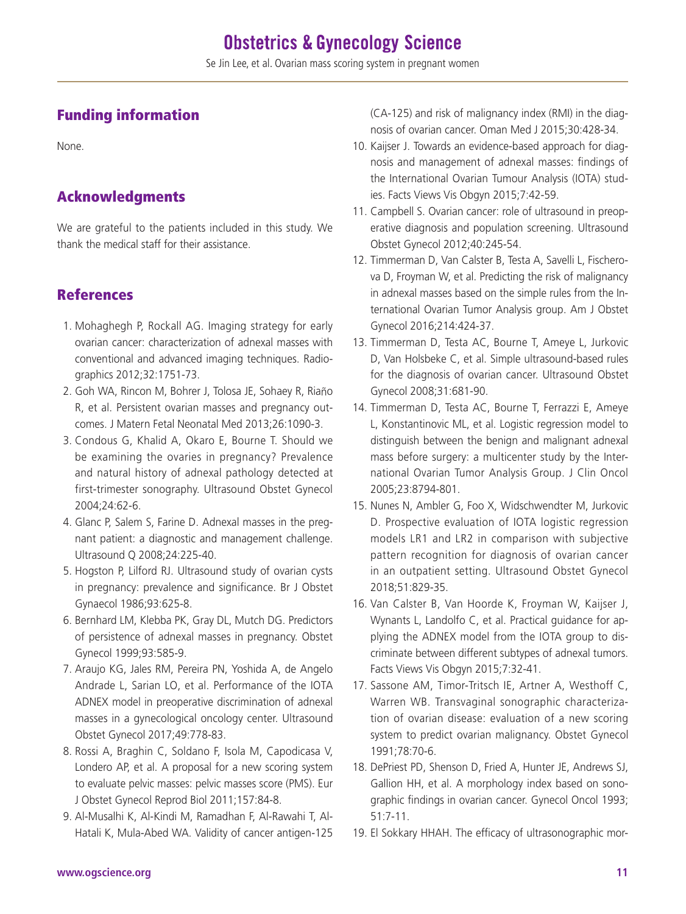## Funding information

None.

## Acknowledgments

We are grateful to the patients included in this study. We thank the medical staff for their assistance.

## References

- 1. Mohaghegh P, Rockall AG. Imaging strategy for early ovarian cancer: characterization of adnexal masses with conventional and advanced imaging techniques. Radiographics 2012;32:1751-73.
- 2. Goh WA, Rincon M, Bohrer J, Tolosa JE, Sohaey R, Riaño R, et al. Persistent ovarian masses and pregnancy outcomes. J Matern Fetal Neonatal Med 2013;26:1090-3.
- 3. Condous G, Khalid A, Okaro E, Bourne T. Should we be examining the ovaries in pregnancy? Prevalence and natural history of adnexal pathology detected at first-trimester sonography. Ultrasound Obstet Gynecol 2004;24:62-6.
- 4. Glanc P, Salem S, Farine D. Adnexal masses in the pregnant patient: a diagnostic and management challenge. Ultrasound Q 2008;24:225-40.
- 5. Hogston P, Lilford RJ. Ultrasound study of ovarian cysts in pregnancy: prevalence and significance. Br J Obstet Gynaecol 1986;93:625-8.
- 6. Bernhard LM, Klebba PK, Gray DL, Mutch DG. Predictors of persistence of adnexal masses in pregnancy. Obstet Gynecol 1999;93:585-9.
- 7. Araujo KG, Jales RM, Pereira PN, Yoshida A, de Angelo Andrade L, Sarian LO, et al. Performance of the IOTA ADNEX model in preoperative discrimination of adnexal masses in a gynecological oncology center. Ultrasound Obstet Gynecol 2017;49:778-83.
- 8. Rossi A, Braghin C, Soldano F, Isola M, Capodicasa V, Londero AP, et al. A proposal for a new scoring system to evaluate pelvic masses: pelvic masses score (PMS). Eur J Obstet Gynecol Reprod Biol 2011;157:84-8.
- 9. Al-Musalhi K, Al-Kindi M, Ramadhan F, Al-Rawahi T, Al-Hatali K, Mula-Abed WA. Validity of cancer antigen-125

(CA-125) and risk of malignancy index (RMI) in the diagnosis of ovarian cancer. Oman Med J 2015;30:428-34.

- 10. Kaijser J. Towards an evidence-based approach for diagnosis and management of adnexal masses: findings of the International Ovarian Tumour Analysis (IOTA) studies. Facts Views Vis Obgyn 2015;7:42-59.
- 11. Campbell S. Ovarian cancer: role of ultrasound in preoperative diagnosis and population screening. Ultrasound Obstet Gynecol 2012;40:245-54.
- 12. Timmerman D, Van Calster B, Testa A, Savelli L, Fischerova D, Froyman W, et al. Predicting the risk of malignancy in adnexal masses based on the simple rules from the International Ovarian Tumor Analysis group. Am J Obstet Gynecol 2016;214:424-37.
- 13. Timmerman D, Testa AC, Bourne T, Ameye L, Jurkovic D, Van Holsbeke C, et al. Simple ultrasound-based rules for the diagnosis of ovarian cancer. Ultrasound Obstet Gynecol 2008;31:681-90.
- 14. Timmerman D, Testa AC, Bourne T, Ferrazzi E, Ameye L, Konstantinovic ML, et al. Logistic regression model to distinguish between the benign and malignant adnexal mass before surgery: a multicenter study by the International Ovarian Tumor Analysis Group. J Clin Oncol 2005;23:8794-801.
- 15. Nunes N, Ambler G, Foo X, Widschwendter M, Jurkovic D. Prospective evaluation of IOTA logistic regression models LR1 and LR2 in comparison with subjective pattern recognition for diagnosis of ovarian cancer in an outpatient setting. Ultrasound Obstet Gynecol 2018;51:829-35.
- 16. Van Calster B, Van Hoorde K, Froyman W, Kaijser J, Wynants L, Landolfo C, et al. Practical guidance for applying the ADNEX model from the IOTA group to discriminate between different subtypes of adnexal tumors. Facts Views Vis Obgyn 2015;7:32-41.
- 17. Sassone AM, Timor-Tritsch IE, Artner A, Westhoff C, Warren WB. Transvaginal sonographic characterization of ovarian disease: evaluation of a new scoring system to predict ovarian malignancy. Obstet Gynecol 1991;78:70-6.
- 18. DePriest PD, Shenson D, Fried A, Hunter JE, Andrews SJ, Gallion HH, et al. A morphology index based on sonographic findings in ovarian cancer. Gynecol Oncol 1993; 51:7-11.
- 19. El Sokkary HHAH. The efficacy of ultrasonographic mor-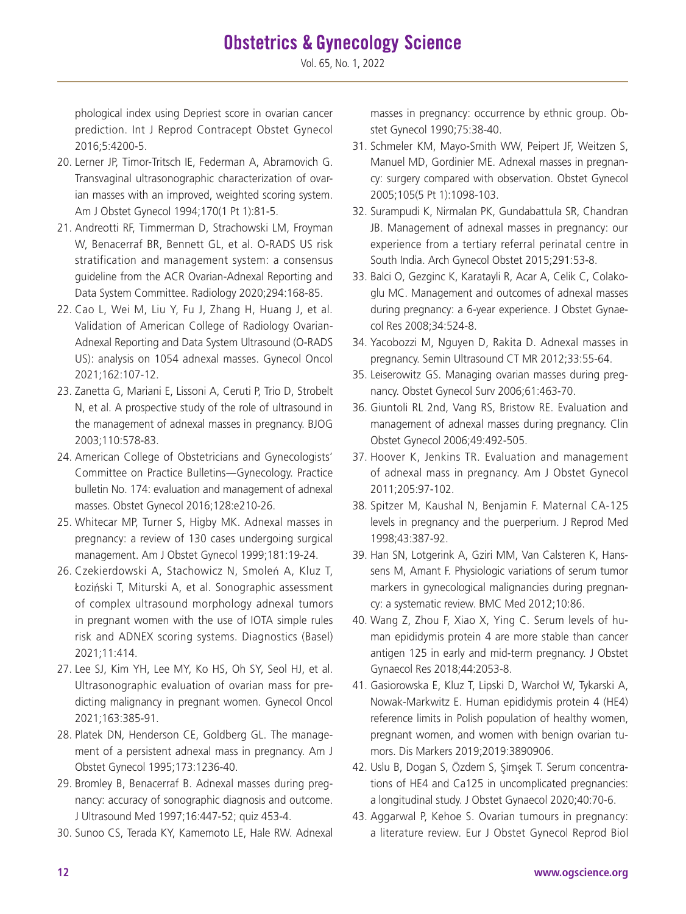phological index using Depriest score in ovarian cancer prediction. Int J Reprod Contracept Obstet Gynecol 2016;5:4200-5.

- 20. Lerner JP, Timor-Tritsch IE, Federman A, Abramovich G. Transvaginal ultrasonographic characterization of ovarian masses with an improved, weighted scoring system. Am J Obstet Gynecol 1994;170(1 Pt 1):81-5.
- 21. Andreotti RF, Timmerman D, Strachowski LM, Froyman W, Benacerraf BR, Bennett GL, et al. O-RADS US risk stratification and management system: a consensus guideline from the ACR Ovarian-Adnexal Reporting and Data System Committee. Radiology 2020;294:168-85.
- 22. Cao L, Wei M, Liu Y, Fu J, Zhang H, Huang J, et al. Validation of American College of Radiology Ovarian-Adnexal Reporting and Data System Ultrasound (O-RADS US): analysis on 1054 adnexal masses. Gynecol Oncol 2021;162:107-12.
- 23. Zanetta G, Mariani E, Lissoni A, Ceruti P, Trio D, Strobelt N, et al. A prospective study of the role of ultrasound in the management of adnexal masses in pregnancy. BJOG 2003;110:578-83.
- 24. American College of Obstetricians and Gynecologists' Committee on Practice Bulletins―Gynecology. Practice bulletin No. 174: evaluation and management of adnexal masses. Obstet Gynecol 2016;128:e210-26.
- 25. Whitecar MP, Turner S, Higby MK. Adnexal masses in pregnancy: a review of 130 cases undergoing surgical management. Am J Obstet Gynecol 1999;181:19-24.
- 26. Czekierdowski A, Stachowicz N, Smoleń A, Kluz T, Łoziński T, Miturski A, et al. Sonographic assessment of complex ultrasound morphology adnexal tumors in pregnant women with the use of IOTA simple rules risk and ADNEX scoring systems. Diagnostics (Basel) 2021;11:414.
- 27. Lee SJ, Kim YH, Lee MY, Ko HS, Oh SY, Seol HJ, et al. Ultrasonographic evaluation of ovarian mass for predicting malignancy in pregnant women. Gynecol Oncol 2021;163:385-91.
- 28. Platek DN, Henderson CE, Goldberg GL. The management of a persistent adnexal mass in pregnancy. Am J Obstet Gynecol 1995;173:1236-40.
- 29. Bromley B, Benacerraf B. Adnexal masses during pregnancy: accuracy of sonographic diagnosis and outcome. J Ultrasound Med 1997;16:447-52; quiz 453-4.
- 30. Sunoo CS, Terada KY, Kamemoto LE, Hale RW. Adnexal

masses in pregnancy: occurrence by ethnic group. Obstet Gynecol 1990;75:38-40.

- 31. Schmeler KM, Mayo-Smith WW, Peipert JF, Weitzen S, Manuel MD, Gordinier ME. Adnexal masses in pregnancy: surgery compared with observation. Obstet Gynecol 2005;105(5 Pt 1):1098-103.
- 32. Surampudi K, Nirmalan PK, Gundabattula SR, Chandran JB. Management of adnexal masses in pregnancy: our experience from a tertiary referral perinatal centre in South India. Arch Gynecol Obstet 2015;291:53-8.
- 33. Balci O, Gezginc K, Karatayli R, Acar A, Celik C, Colakoglu MC. Management and outcomes of adnexal masses during pregnancy: a 6-year experience. J Obstet Gynaecol Res 2008;34:524-8.
- 34. Yacobozzi M, Nguyen D, Rakita D. Adnexal masses in pregnancy. Semin Ultrasound CT MR 2012;33:55-64.
- 35. Leiserowitz GS. Managing ovarian masses during pregnancy. Obstet Gynecol Surv 2006;61:463-70.
- 36. Giuntoli RL 2nd, Vang RS, Bristow RE. Evaluation and management of adnexal masses during pregnancy. Clin Obstet Gynecol 2006;49:492-505.
- 37. Hoover K, Jenkins TR. Evaluation and management of adnexal mass in pregnancy. Am J Obstet Gynecol 2011;205:97-102.
- 38. Spitzer M, Kaushal N, Benjamin F. Maternal CA-125 levels in pregnancy and the puerperium. J Reprod Med 1998;43:387-92.
- 39. Han SN, Lotgerink A, Gziri MM, Van Calsteren K, Hanssens M, Amant F. Physiologic variations of serum tumor markers in gynecological malignancies during pregnancy: a systematic review. BMC Med 2012;10:86.
- 40. Wang Z, Zhou F, Xiao X, Ying C. Serum levels of human epididymis protein 4 are more stable than cancer antigen 125 in early and mid-term pregnancy. J Obstet Gynaecol Res 2018;44:2053-8.
- 41. Gasiorowska E, Kluz T, Lipski D, Warchoł W, Tykarski A, Nowak-Markwitz E. Human epididymis protein 4 (HE4) reference limits in Polish population of healthy women, pregnant women, and women with benign ovarian tumors. Dis Markers 2019;2019:3890906.
- 42. Uslu B, Dogan S, Özdem S, Şimşek T. Serum concentrations of HE4 and Ca125 in uncomplicated pregnancies: a longitudinal study. J Obstet Gynaecol 2020;40:70-6.
- 43. Aggarwal P, Kehoe S. Ovarian tumours in pregnancy: a literature review. Eur J Obstet Gynecol Reprod Biol